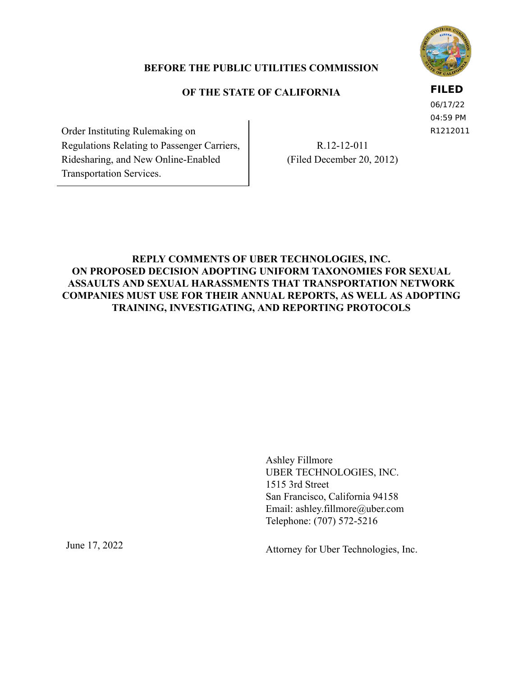

## **BEFORE THE PUBLIC UTILITIES COMMISSION**

# **OF THE STATE OF CALIFORNIA**

## **FILED**

06/17/22 04:59 PM R1212011

 Order Instituting Rulemaking on Regulations Relating to Passenger Carriers, Ridesharing, and New Online-Enabled Transportation Services.

 R.12-12-011 (Filed December 20, 2012)

# **REPLY COMMENTS OF UBER TECHNOLOGIES, INC. ON PROPOSED DECISION ADOPTING UNIFORM TAXONOMIES FOR SEXUAL ASSAULTS AND SEXUAL HARASSMENTS THAT TRANSPORTATION NETWORK COMPANIES MUST USE FOR THEIR ANNUAL REPORTS, AS WELL AS ADOPTING TRAINING, INVESTIGATING, AND REPORTING PROTOCOLS**

 Ashley Fillmore UBER TECHNOLOGIES, INC. 1515 3rd Street San Francisco, California 94158 Email: ashley.fillmore@uber.com Telephone: (707) 572-5216

June 17, 2022

Attorney for Uber Technologies, Inc.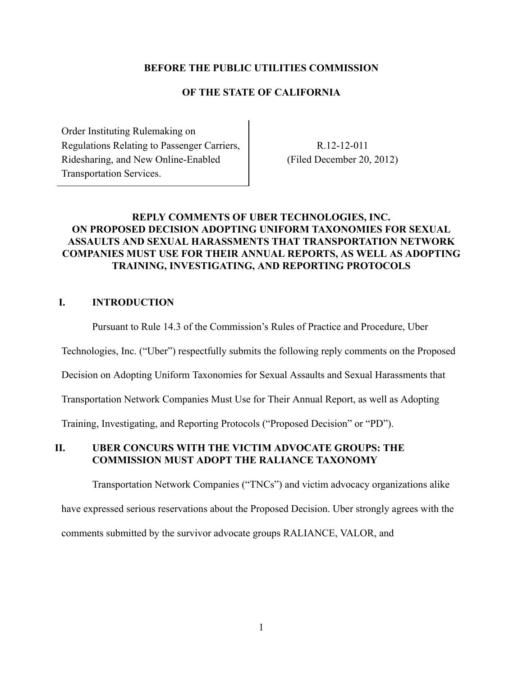#### **BEFORE THE PUBLIC UTILITIES COMMISSION**

#### **OF THE STATE OF CALIFORNIA**

 Order Instituting Rulemaking on Regulations Relating to Passenger Carriers, Ridesharing, and New Online-Enabled Transportation Services.

 R.12-12-011 (Filed December 20, 2012)

### **REPLY COMMENTS OF UBER TECHNOLOGIES, INC. ON PROPOSED DECISION ADOPTING UNIFORM TAXONOMIES FOR SEXUAL ASSAULTS AND SEXUAL HARASSMENTS THAT TRANSPORTATION NETWORK COMPANIES MUST USE FOR THEIR ANNUAL REPORTS, AS WELL AS ADOPTING TRAINING, INVESTIGATING, AND REPORTING PROTOCOLS**

### **I. INTRODUCTION**

Pursuant to Rule 14.3 of the Commission's Rules of Practice and Procedure, Uber

Technologies, Inc. ("Uber") respectfully submits the following reply comments on the Proposed

Decision on Adopting Uniform Taxonomies for Sexual Assaults and Sexual Harassments that

Transportation Network Companies Must Use for Their Annual Report, as well as Adopting

Training, Investigating, and Reporting Protocols ("Proposed Decision" or "PD").

### **II. UBER CONCURS WITH THE VICTIM ADVOCATE GROUPS: THE COMMISSION MUST ADOPT THE RALIANCE TAXONOMY**

 Transportation Network Companies ("TNCs") and victim advocacy organizations alike have expressed serious reservations about the Proposed Decision. Uber strongly agrees with the comments submitted by the survivor advocate groups RALIANCE, VALOR, and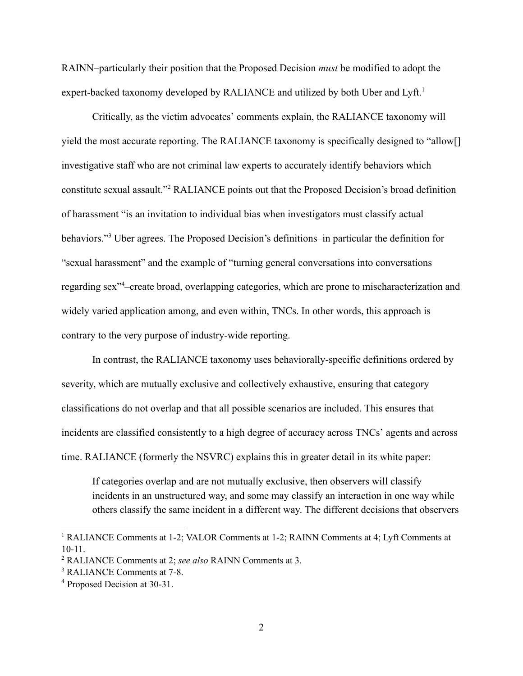RAINN–particularly their position that the Proposed Decision *must* be modified to adopt the expert-backed taxonomy developed by RALIANCE and utilized by both Uber and Lyft.<sup>1</sup>

 Critically, as the victim advocates' comments explain, the RALIANCE taxonomy will yield the most accurate reporting. The RALIANCE taxonomy is specifically designed to "allow[] investigative staff who are not criminal law experts to accurately identify behaviors which constitute sexual assault."<sup>2</sup> RALIANCE points out that the Proposed Decision's broad definition of harassment "is an invitation to individual bias when investigators must classify actual behaviors."<sup>3</sup> Uber agrees. The Proposed Decision's definitions–in particular the definition for "sexual harassment" and the example of "turning general conversations into conversations regarding sex<sup>-14</sup>-create broad, overlapping categories, which are prone to mischaracterization and widely varied application among, and even within, TNCs. In other words, this approach is contrary to the very purpose of industry-wide reporting.

 In contrast, the RALIANCE taxonomy uses behaviorally-specific definitions ordered by severity, which are mutually exclusive and collectively exhaustive, ensuring that category classifications do not overlap and that all possible scenarios are included. This ensures that incidents are classified consistently to a high degree of accuracy across TNCs' agents and across time. RALIANCE (formerly the NSVRC) explains this in greater detail in its white paper:

 If categories overlap and are not mutually exclusive, then observers will classify incidents in an unstructured way, and some may classify an interaction in one way while others classify the same incident in a different way. The different decisions that observers

<sup>&</sup>lt;sup>1</sup> RALIANCE Comments at 1-2; VALOR Comments at 1-2; RAINN Comments at 4; Lyft Comments at 10-11.

<sup>2</sup>RALIANCE Comments at 2; *see also* RAINN Comments at 3.

<sup>&</sup>lt;sup>3</sup> RALIANCE Comments at 7-8.

<sup>&</sup>lt;sup>4</sup> Proposed Decision at 30-31.